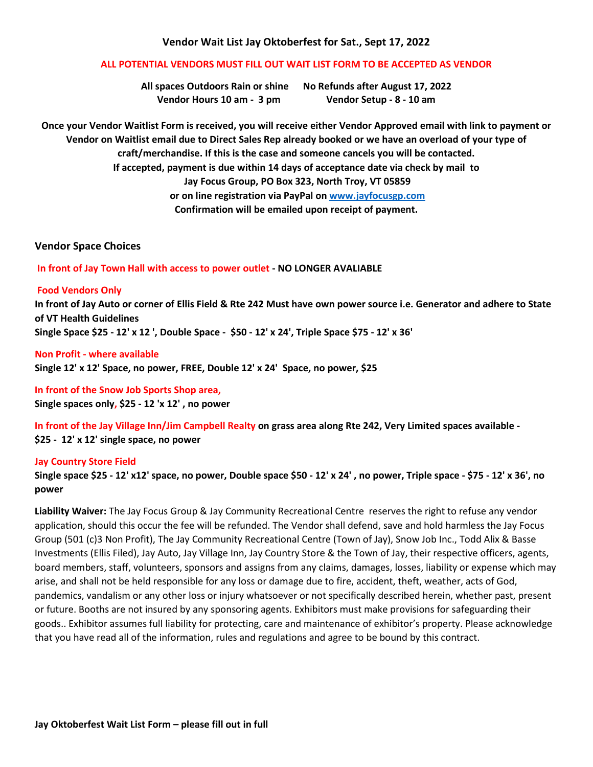## **Vendor Wait List Jay Oktoberfest for Sat., Sept 17, 2022**

# **ALL POTENTIAL VENDORS MUST FILL OUT WAIT LIST FORM TO BE ACCEPTED AS VENDOR**

**All spaces Outdoors Rain or shine No Refunds after August 17, 2022 Vendor Hours 10 am - 3 pm Vendor Setup - 8 - 10 am**

**Once your Vendor Waitlist Form is received, you will receive either Vendor Approved email with link to payment or Vendor on Waitlist email due to Direct Sales Rep already booked or we have an overload of your type of craft/merchandise. If this is the case and someone cancels you will be contacted. If accepted, payment is due within 14 days of acceptance date via check by mail to Jay Focus Group, PO Box 323, North Troy, VT 05859 or on line registration via PayPal on [www.jayfocusgp.com](http://www.jayfocusgp.com/) Confirmation will be emailed upon receipt of payment.**

### **Vendor Space Choices**

#### **In front of Jay Town Hall with access to power outlet - NO LONGER AVALIABLE**

#### **Food Vendors Only**

**In front of Jay Auto or corner of Ellis Field & Rte 242 Must have own power source i.e. Generator and adhere to State of VT Health Guidelines Single Space \$25 - 12' x 12 ', Double Space - \$50 - 12' x 24', Triple Space \$75 - 12' x 36'**

**Non Profit - where available Single 12' x 12' Space, no power, FREE, Double 12' x 24' Space, no power, \$25**

**In front of the Snow Job Sports Shop area, Single spaces only, \$25 - 12 'x 12' , no power**

**In front of the Jay Village Inn/Jim Campbell Realty on grass area along Rte 242, Very Limited spaces available - \$25 - 12' x 12' single space, no power**

#### **Jay Country Store Field**

**Single space \$25 - 12' x12' space, no power, Double space \$50 - 12' x 24' , no power, Triple space - \$75 - 12' x 36', no power**

**Liability Waiver:** The Jay Focus Group & Jay Community Recreational Centre reserves the right to refuse any vendor application, should this occur the fee will be refunded. The Vendor shall defend, save and hold harmless the Jay Focus Group (501 (c)3 Non Profit), The Jay Community Recreational Centre (Town of Jay), Snow Job Inc., Todd Alix & Basse Investments (Ellis Filed), Jay Auto, Jay Village Inn, Jay Country Store & the Town of Jay, their respective officers, agents, board members, staff, volunteers, sponsors and assigns from any claims, damages, losses, liability or expense which may arise, and shall not be held responsible for any loss or damage due to fire, accident, theft, weather, acts of God, pandemics, vandalism or any other loss or injury whatsoever or not specifically described herein, whether past, present or future. Booths are not insured by any sponsoring agents. Exhibitors must make provisions for safeguarding their goods.. Exhibitor assumes full liability for protecting, care and maintenance of exhibitor's property. Please acknowledge that you have read all of the information, rules and regulations and agree to be bound by this contract.